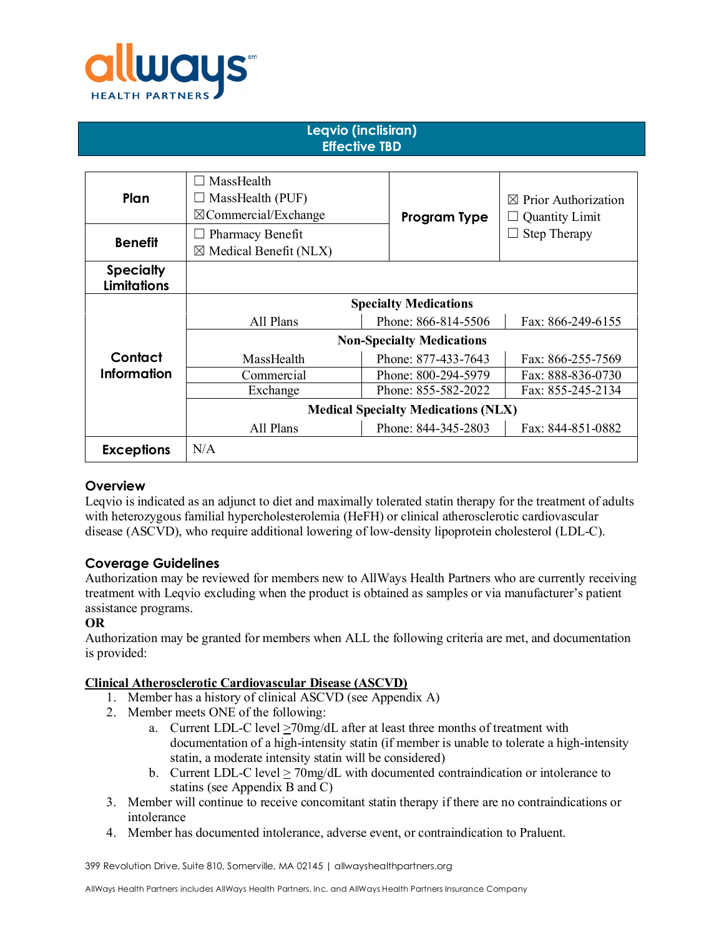

#### **Leqvio (inclisiran) Effective TBD**

| Plan                                   | $\Box$ MassHealth<br>$\Box$ MassHealth (PUF)<br>$\boxtimes$ Commercial/Exchange | Program Type        | $\boxtimes$ Prior Authorization<br><b>Quantity Limit</b> |
|----------------------------------------|---------------------------------------------------------------------------------|---------------------|----------------------------------------------------------|
| <b>Benefit</b>                         | Pharmacy Benefit<br>$\boxtimes$ Medical Benefit (NLX)                           |                     | Step Therapy                                             |
| <b>Specialty</b><br><b>Limitations</b> |                                                                                 |                     |                                                          |
|                                        | <b>Specialty Medications</b>                                                    |                     |                                                          |
|                                        | All Plans                                                                       | Phone: 866-814-5506 | Fax: 866-249-6155                                        |
|                                        | <b>Non-Specialty Medications</b>                                                |                     |                                                          |
| Contact                                | MassHealth                                                                      | Phone: 877-433-7643 | Fax: 866-255-7569                                        |
| Information                            | Commercial                                                                      | Phone: 800-294-5979 | Fax: 888-836-0730                                        |
|                                        | Exchange                                                                        | Phone: 855-582-2022 | Fax: 855-245-2134                                        |
|                                        | <b>Medical Specialty Medications (NLX)</b>                                      |                     |                                                          |
|                                        | All Plans                                                                       | Phone: 844-345-2803 | Fax: 844-851-0882                                        |
| <b>Exceptions</b>                      | N/A                                                                             |                     |                                                          |

# **Overview**

Leqvio is indicated as an adjunct to diet and maximally tolerated statin therapy for the treatment of adults with heterozygous familial hypercholesterolemia (HeFH) or clinical atherosclerotic cardiovascular disease (ASCVD), who require additional lowering of low-density lipoprotein cholesterol (LDL-C).

# **Coverage Guidelines**

Authorization may be reviewed for members new to AllWays Health Partners who are currently receiving treatment with Leqvio excluding when the product is obtained as samples or via manufacturer's patient assistance programs.

#### **OR**

Authorization may be granted for members when ALL the following criteria are met, and documentation is provided:

#### **Clinical Atherosclerotic Cardiovascular Disease (ASCVD)**

- 1. Member has a history of clinical ASCVD (see Appendix A)
- 2. Member meets ONE of the following:
	- a. Current LDL-C level  $\geq$ 70mg/dL after at least three months of treatment with documentation of a high-intensity statin (if member is unable to tolerate a high-intensity statin, a moderate intensity statin will be considered)
	- b. Current LDL-C level > 70mg/dL with documented contraindication or intolerance to statins (see Appendix B and C)
- 3. Member will continue to receive concomitant statin therapy if there are no contraindications or intolerance
- 4. Member has documented intolerance, adverse event, or contraindication to Praluent.

399 Revolution Drive, Suite 810, Somerville, MA 02145 | allwayshealthpartners.org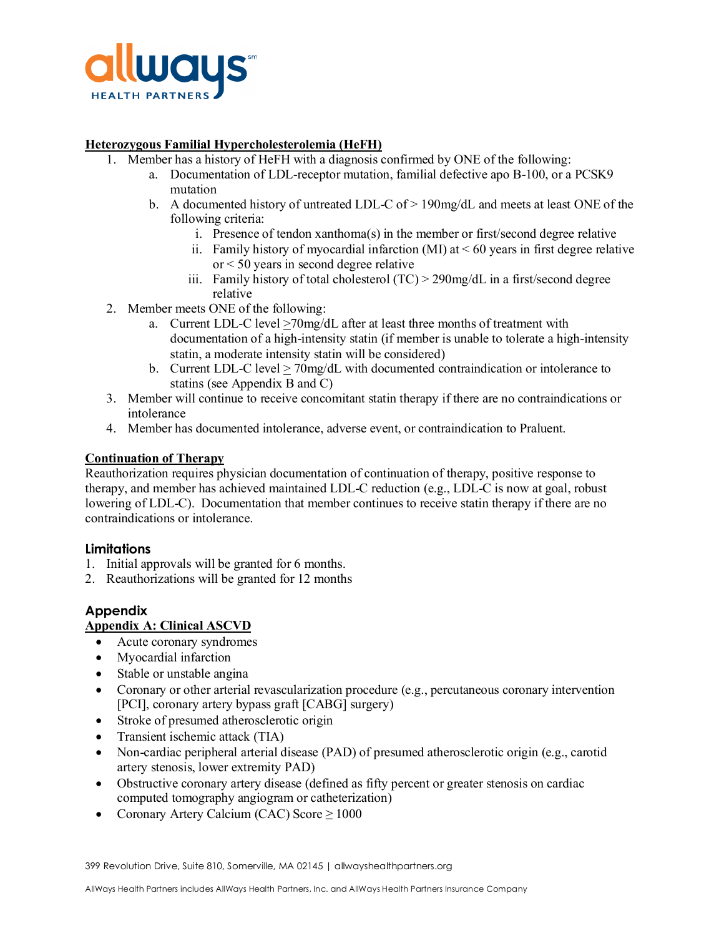

### **Heterozygous Familial Hypercholesterolemia (HeFH)**

- 1. Member has a history of HeFH with a diagnosis confirmed by ONE of the following:
	- a. Documentation of LDL-receptor mutation, familial defective apo B-100, or a PCSK9 mutation
	- b. A documented history of untreated LDL-C of  $> 190$  mg/dL and meets at least ONE of the following criteria:
		- i. Presence of tendon xanthoma(s) in the member or first/second degree relative
		- ii. Family history of myocardial infarction  $(MI)$  at  $< 60$  years in first degree relative or < 50 years in second degree relative
		- iii. Family history of total cholesterol (TC) > 290mg/dL in a first/second degree relative
- 2. Member meets ONE of the following:
	- a. Current LDL-C level >70mg/dL after at least three months of treatment with documentation of a high-intensity statin (if member is unable to tolerate a high-intensity statin, a moderate intensity statin will be considered)
	- b. Current LDL-C level > 70mg/dL with documented contraindication or intolerance to statins (see Appendix B and C)
- 3. Member will continue to receive concomitant statin therapy if there are no contraindications or intolerance
- 4. Member has documented intolerance, adverse event, or contraindication to Praluent.

### **Continuation of Therapy**

Reauthorization requires physician documentation of continuation of therapy, positive response to therapy, and member has achieved maintained LDL-C reduction (e.g., LDL-C is now at goal, robust lowering of LDL-C). Documentation that member continues to receive statin therapy if there are no contraindications or intolerance.

# **Limitations**

- 1. Initial approvals will be granted for 6 months.
- 2. Reauthorizations will be granted for 12 months

# **Appendix**

# **Appendix A: Clinical ASCVD**

- Acute coronary syndromes
- Myocardial infarction
- Stable or unstable angina
- Coronary or other arterial revascularization procedure (e.g., percutaneous coronary intervention [PCI], coronary artery bypass graft [CABG] surgery)
- Stroke of presumed atherosclerotic origin
- Transient ischemic attack (TIA)
- Non-cardiac peripheral arterial disease (PAD) of presumed atherosclerotic origin (e.g., carotid artery stenosis, lower extremity PAD)
- Obstructive coronary artery disease (defined as fifty percent or greater stenosis on cardiac computed tomography angiogram or catheterization)
- Coronary Artery Calcium (CAC) Score  $\geq 1000$

399 Revolution Drive, Suite 810, Somerville, MA 02145 | allwayshealthpartners.org